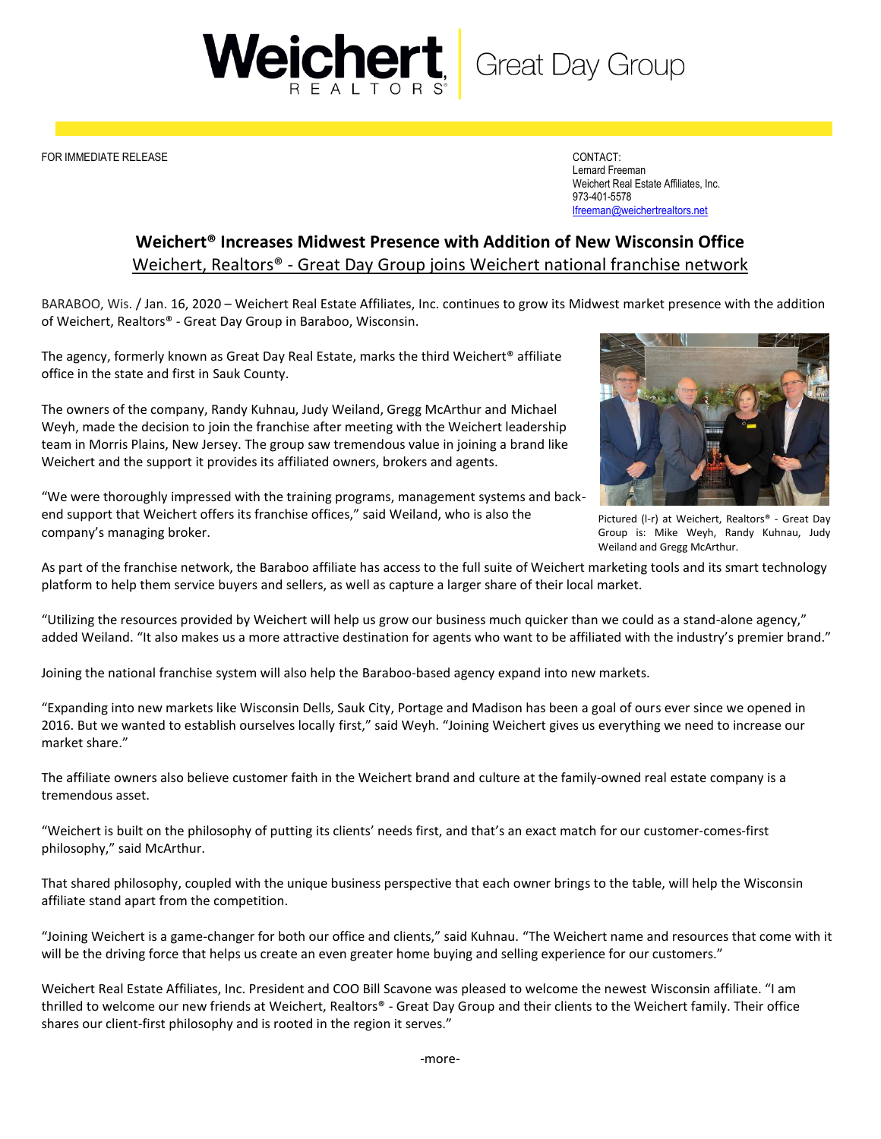Weicher **Great Day Group** 

FOR IMMEDIATE RELEASE CONTACT:

Lernard Freeman Weichert Real Estate Affiliates, Inc. 973-401-5578 [lfreeman@weichertrealtors.net](mailto:lfreeman@weichertrealtors.net)

## **Weichert® Increases Midwest Presence with Addition of New Wisconsin Office** Weichert, Realtors® - Great Day Group joins Weichert national franchise network

BARABOO, Wis. / Jan. 16, 2020 – Weichert Real Estate Affiliates, Inc. continues to grow its Midwest market presence with the addition of Weichert, Realtors® - Great Day Group in Baraboo, Wisconsin.

The agency, formerly known as Great Day Real Estate, marks the third Weichert® affiliate office in the state and first in Sauk County.

The owners of the company, Randy Kuhnau, Judy Weiland, Gregg McArthur and Michael Weyh, made the decision to join the franchise after meeting with the Weichert leadership team in Morris Plains, New Jersey. The group saw tremendous value in joining a brand like Weichert and the support it provides its affiliated owners, brokers and agents.



Pictured (l-r) at Weichert, Realtors® - Great Day Group is: Mike Weyh, Randy Kuhnau, Judy Weiland and Gregg McArthur.

"We were thoroughly impressed with the training programs, management systems and backend support that Weichert offers its franchise offices," said Weiland, who is also the company's managing broker.

As part of the franchise network, the Baraboo affiliate has access to the full suite of Weichert marketing tools and its smart technology platform to help them service buyers and sellers, as well as capture a larger share of their local market.

"Utilizing the resources provided by Weichert will help us grow our business much quicker than we could as a stand-alone agency," added Weiland. "It also makes us a more attractive destination for agents who want to be affiliated with the industry's premier brand."

Joining the national franchise system will also help the Baraboo-based agency expand into new markets.

"Expanding into new markets like Wisconsin Dells, Sauk City, Portage and Madison has been a goal of ours ever since we opened in 2016. But we wanted to establish ourselves locally first," said Weyh. "Joining Weichert gives us everything we need to increase our market share."

The affiliate owners also believe customer faith in the Weichert brand and culture at the family-owned real estate company is a tremendous asset.

"Weichert is built on the philosophy of putting its clients' needs first, and that's an exact match for our customer-comes-first philosophy," said McArthur.

That shared philosophy, coupled with the unique business perspective that each owner brings to the table, will help the Wisconsin affiliate stand apart from the competition.

"Joining Weichert is a game-changer for both our office and clients," said Kuhnau. "The Weichert name and resources that come with it will be the driving force that helps us create an even greater home buying and selling experience for our customers."

Weichert Real Estate Affiliates, Inc. President and COO Bill Scavone was pleased to welcome the newest Wisconsin affiliate. "I am thrilled to welcome our new friends at Weichert, Realtors® - Great Day Group and their clients to the Weichert family. Their office shares our client-first philosophy and is rooted in the region it serves."